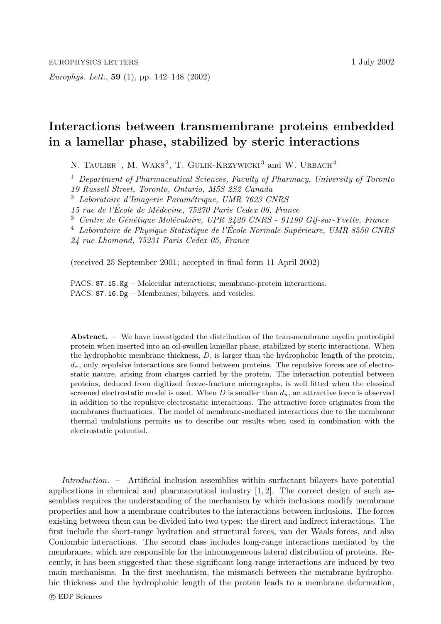*Europhys. Lett.*, **59** (1), pp. 142–148 (2002)

## **Interactions between transmembrane proteins embedded in a lamellar phase, stabilized by steric interactions**

N. TAULIER<sup>1</sup>, M. WAKS<sup>2</sup>, T. GULIK-KRZYWICKI<sup>3</sup> and W. URBACH<sup>4</sup>

<sup>1</sup> *Department of Pharmaceutical Sciences, Faculty of Pharmacy, University of Toronto 19 Russell Street, Toronto, Ontario, M5S 2S2 Canada*

<sup>2</sup> *Laboratoire d'Imagerie Param´etrique, UMR 7623 CNRS*

*15 rue de l'Ecole de M´ ´ edecine, 75270 Paris Cedex 06, France*

<sup>3</sup> Centre de Génétique Moléculaire, UPR 2420 CNRS - 91190 Gif-sur-Yvette, France

<sup>4</sup> *Laboratoire de Physique Statistique de l'Ecole Normale Sup´ ´ erieure, UMR 8550 CNRS*

*24 rue Lhomond, 75231 Paris Cedex 05, France*

(received 25 September 2001; accepted in final form 11 April 2002)

PACS. 87.15.Kg – Molecular interactions; membrane-protein interactions. PACS. 87.16.Dg – Membranes, bilayers, and vesicles.

**Abstract.** – We have investigated the distribution of the transmembrane myelin proteolipid protein when inserted into an oil-swollen lamellar phase, stabilized by steric interactions. When the hydrophobic membrane thickness,  $D$ , is larger than the hydrophobic length of the protein,  $d_{\pi}$ , only repulsive interactions are found between proteins. The repulsive forces are of electrostatic nature, arising from charges carried by the protein. The interaction potential between proteins, deduced from digitized freeze-fracture micrographs, is well fitted when the classical screened electrostatic model is used. When D is smaller than  $d_{\pi}$ , an attractive force is observed in addition to the repulsive electrostatic interactions. The attractive force originates from the membranes fluctuations. The model of membrane-mediated interactions due to the membrane thermal undulations permits us to describe our results when used in combination with the electrostatic potential.

*Introduction. –* Artificial inclusion assemblies within surfactant bilayers have potential applications in chemical and pharmaceutical industry  $[1, 2]$ . The correct design of such assemblies requires the understanding of the mechanism by which inclusions modify membrane properties and how a membrane contributes to the interactions between inclusions. The forces existing between them can be divided into two types: the direct and indirect interactions. The first include the short-range hydration and structural forces, van der Waals forces, and also Coulombic interactions. The second class includes long-range interactions mediated by the membranes, which are responsible for the inhomogeneous lateral distribution of proteins. Recently, it has been suggested that these significant long-range interactions are induced by two main mechanisms. In the first mechanism, the mismatch between the membrane hydrophobic thickness and the hydrophobic length of the protein leads to a membrane deformation,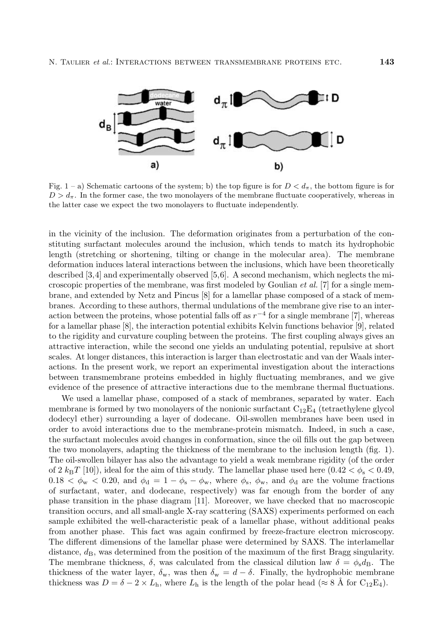

Fig. 1 – a) Schematic cartoons of the system; b) the top figure is for  $D < d_{\pi}$ , the bottom figure is for  $D>d_{\pi}$ . In the former case, the two monolayers of the membrane fluctuate cooperatively, whereas in the latter case we expect the two monolayers to fluctuate independently.

in the vicinity of the inclusion. The deformation originates from a perturbation of the constituting surfactant molecules around the inclusion, which tends to match its hydrophobic length (stretching or shortening, tilting or change in the molecular area). The membrane deformation induces lateral interactions between the inclusions, which have been theoretically described [3,4] and experimentally observed [5,6]. A second mechanism, which neglects the microscopic properties of the membrane, was first modeled by Goulian *et al.* [7] for a single membrane, and extended by Netz and Pincus [8] for a lamellar phase composed of a stack of membranes. According to these authors, thermal undulations of the membrane give rise to an interaction between the proteins, whose potential falls off as  $r^{-4}$  for a single membrane [7], whereas for a lamellar phase [8], the interaction potential exhibits Kelvin functions behavior [9], related to the rigidity and curvature coupling between the proteins. The first coupling always gives an attractive interaction, while the second one yields an undulating potential, repulsive at short scales. At longer distances, this interaction is larger than electrostatic and van der Waals interactions. In the present work, we report an experimental investigation about the interactions between transmembrane proteins embedded in highly fluctuating membranes, and we give evidence of the presence of attractive interactions due to the membrane thermal fluctuations.

We used a lamellar phase, composed of a stack of membranes, separated by water. Each membrane is formed by two monolayers of the nonionic surfactant  $C_{12}E_4$  (tetraethylene glycol dodecyl ether) surrounding a layer of dodecane. Oil-swollen membranes have been used in order to avoid interactions due to the membrane-protein mismatch. Indeed, in such a case, the surfactant molecules avoid changes in conformation, since the oil fills out the gap between the two monolayers, adapting the thickness of the membrane to the inclusion length (fig. 1). The oil-swollen bilayer has also the advantage to yield a weak membrane rigidity (of the order of 2  $k_BT$  [10]), ideal for the aim of this study. The lamellar phase used here  $(0.42 < \phi_s < 0.49$ ,  $0.18 < \phi_{\rm w} < 0.20$ , and  $\phi_{\rm d} = 1 - \phi_{\rm s} - \phi_{\rm w}$ , where  $\phi_{\rm s}$ ,  $\phi_{\rm w}$ , and  $\phi_{\rm d}$  are the volume fractions of surfactant, water, and dodecane, respectively) was far enough from the border of any phase transition in the phase diagram [11]. Moreover, we have checked that no macroscopic transition occurs, and all small-angle X-ray scattering (SAXS) experiments performed on each sample exhibited the well-characteristic peak of a lamellar phase, without additional peaks from another phase. This fact was again confirmed by freeze-fracture electron microscopy. The different dimensions of the lamellar phase were determined by SAXS. The interlamellar distance,  $d_{\rm B}$ , was determined from the position of the maximum of the first Bragg singularity. The membrane thickness,  $\delta$ , was calculated from the classical dilution law  $\delta = \phi_{\rm s} d_{\rm B}$ . The thickness of the water layer,  $\delta_w$ , was then  $\delta_w = d - \delta$ . Finally, the hydrophobic membrane thickness was  $D = \delta - 2 \times L_h$ , where  $L_h$  is the length of the polar head ( $\approx 8$  Å for C<sub>12</sub>E<sub>4</sub>).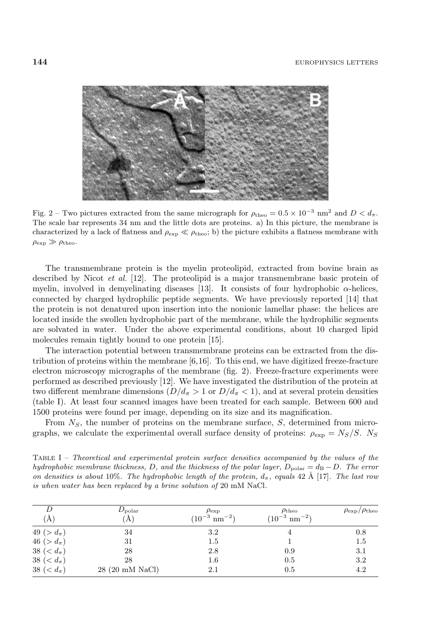

Fig. 2 – Two pictures extracted from the same micrograph for  $\rho_{\text{theo}} = 0.5 \times 10^{-3}$  nm<sup>2</sup> and  $D < d_{\pi}$ . The scale bar represents 34 nm and the little dots are proteins. a) In this picture, the membrane is characterized by a lack of flatness and  $\rho_{\exp} \ll \rho_{\text{theo}}$ ; b) the picture exhibits a flatness membrane with  $\rho_{\rm exp} \gg \rho_{\rm theo}.$ 

The transmembrane protein is the myelin proteolipid, extracted from bovine brain as described by Nicot *et al.* [12]. The proteolipid is a major transmembrane basic protein of myelin, involved in demyelinating diseases [13]. It consists of four hydrophobic  $\alpha$ -helices, connected by charged hydrophilic peptide segments. We have previously reported [14] that the protein is not denatured upon insertion into the nonionic lamellar phase: the helices are located inside the swollen hydrophobic part of the membrane, while the hydrophilic segments are solvated in water. Under the above experimental conditions, about 10 charged lipid molecules remain tightly bound to one protein [15].

The interaction potential between transmembrane proteins can be extracted from the distribution of proteins within the membrane  $[6,16]$ . To this end, we have digitized freeze-fracture electron microscopy micrographs of the membrane (fig. 2). Freeze-fracture experiments were performed as described previously [12]. We have investigated the distribution of the protein at two different membrane dimensions  $(D/d_\pi > 1$  or  $D/d_\pi < 1)$ , and at several protein densities (table I). At least four scanned images have been treated for each sample. Between 600 and 1500 proteins were found per image, depending on its size and its magnification.

From  $N<sub>S</sub>$ , the number of proteins on the membrane surface,  $S$ , determined from micrographs, we calculate the experimental overall surface density of proteins:  $\rho_{\exp} = N_S/S$ . Ns

Table I – Theoretical and experimental protein surface densities accompanied by the values of the hydrophobic membrane thickness, D, and the thickness of the polar layer,  $D_{\text{polar}} = d_{\text{B}} - D$ . The error on densities is about 10%. The hydrophobic length of the protein,  $d_{\pi}$ , equals 42 Å [17]. The last row is when water has been replaced by a brine solution of 20 mM NaCl.

| $\rm (\AA)$       | $D_{\rm polar}$<br>$\rm \Huge (A)$ | $\rho_{\rm exp}$<br>$(10^{-3} \text{ nm}^{-2})$ | $\rho_{\rm theo}$<br>$(10^{-3} \text{ nm}^{-2})$ | $\rho_{\rm exp}/\rho_{\rm theo}$ |
|-------------------|------------------------------------|-------------------------------------------------|--------------------------------------------------|----------------------------------|
| 49 ( $>d_{\pi}$ ) | 34                                 | 3.2                                             |                                                  | 0.8                              |
| 46 ( $>d_{\pi}$ ) | 31                                 | 1.5                                             |                                                  | 1.5                              |
| 38 ( $d_{\pi}$ )  | 28                                 | 2.8                                             | 0.9                                              | 3.1                              |
| 38 ( $d_{\pi}$ )  | 28                                 | $^{1.6}$                                        | 0.5                                              | 3.2                              |
| 38 ( $d_{\pi}$ )  | 28 (20 mM NaCl)                    | 2.1                                             | 0.5                                              | 4.2                              |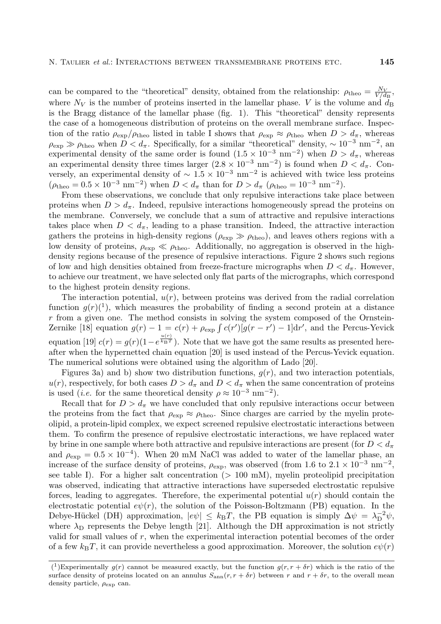can be compared to the "theoretical" density, obtained from the relationship:  $\rho_{\text{theo}} = \frac{N_V}{V/d_B}$ , where  $N_V$  is the number of proteins inserted in the lamellar phase. V is the volume and  $\tilde{d}_B$ is the Bragg distance of the lamellar phase (fig. 1). This "theoretical" density represents the case of a homogeneous distribution of proteins on the overall membrane surface. Inspection of the ratio  $\rho_{\rm exp}/\rho_{\rm theo}$  listed in table I shows that  $\rho_{\rm exp} \approx \rho_{\rm theo}$  when  $D > d_{\pi}$ , whereas  $\rho_{\rm exp} \gg \rho_{\rm theo}$  when  $D < d_{\pi}$ . Specifically, for a similar "theoretical" density,  $\sim 10^{-3}$  nm<sup>-2</sup>, an experimental density of the same order is found  $(1.5 \times 10^{-3} \text{ nm}^{-2})$  when  $D > d_{\pi}$ , whereas an experimental density three times larger  $(2.8 \times 10^{-3} \text{ nm}^{-2})$  is found when  $D < d_{\pi}$ . Conversely, an experimental density of  $\sim 1.5 \times 10^{-3}$  nm<sup>-2</sup> is achieved with twice less proteins  $(\rho_{\text{theo}} = 0.5 \times 10^{-3} \text{ nm}^{-2})$  when  $D < d_{\pi}$  than for  $D > d_{\pi}$  ( $\rho_{\text{theo}} = 10^{-3} \text{ nm}^{-2}$ ).

From these observations, we conclude that only repulsive interactions take place between proteins when  $D > d_{\pi}$ . Indeed, repulsive interactions homogeneously spread the proteins on the membrane. Conversely, we conclude that a sum of attractive and repulsive interactions takes place when  $D < d_{\pi}$ , leading to a phase transition. Indeed, the attractive interaction gathers the proteins in high-density regions ( $\rho_{\rm exp} \gg \rho_{\rm theo}$ ), and leaves others regions with a low density of proteins,  $\rho_{\rm exp} \ll \rho_{\rm theo}$ . Additionally, no aggregation is observed in the highdensity regions because of the presence of repulsive interactions. Figure 2 shows such regions of low and high densities obtained from freeze-fracture micrographs when  $D < d<sub>\pi</sub>$ . However, to achieve our treatment, we have selected only flat parts of the micrographs, which correspond to the highest protein density regions.

The interaction potential,  $u(r)$ , between proteins was derived from the radial correlation function  $g(r)(1)$ , which measures the probability of finding a second protein at a distance  $r$  from a given one. The method consists in solving the system composed of the Ornstein-Zernike [18] equation  $g(r) - 1 = c(r) + \rho_{\exp} \int c(r') [g(r - r') - 1] dr'$ , and the Percus-Yevick equation [19]  $c(r) = g(r)(1 - e^{\frac{u(r)}{k_BT}})$ . Note that we have got the same results as presented hereafter when the hypernetted chain equation [20] is used instead of the Percus-Yevick equation. The numerical solutions were obtained using the algorithm of Lado [20].

Figures 3a) and b) show two distribution functions,  $g(r)$ , and two interaction potentials,  $u(r)$ , respectively, for both cases  $D>d_{\pi}$  and  $D< d_{\pi}$  when the same concentration of proteins is used (*i.e.* for the same theoretical density  $\rho \approx 10^{-3}$  nm<sup>-2</sup>).

Recall that for  $D > d_{\pi}$  we have concluded that only repulsive interactions occur between the proteins from the fact that  $\rho_{\exp} \approx \rho_{\text{theo}}$ . Since charges are carried by the myelin proteolipid, a protein-lipid complex, we expect screened repulsive electrostatic interactions between them. To confirm the presence of repulsive electrostatic interactions, we have replaced water by brine in one sample where both attractive and repulsive interactions are present (for  $D < d_{\pi}$ ) and  $\rho_{\rm exp} = 0.5 \times 10^{-4}$ ). When 20 mM NaCl was added to water of the lamellar phase, an increase of the surface density of proteins,  $\rho_{\rm exp}$ , was observed (from 1.6 to 2.1 × 10<sup>-3</sup> nm<sup>-2</sup>, see table I). For a higher salt concentration  $(> 100 \text{ mM})$ , myelin proteolipid precipitation was observed, indicating that attractive interactions have superseded electrostatic repulsive forces, leading to aggregates. Therefore, the experimental potential  $u(r)$  should contain the electrostatic potential  $e\psi(r)$ , the solution of the Poisson-Boltzmann (PB) equation. In the Debye-Hückel (DH) approximation,  $|e\psi| \leq k_B T$ , the PB equation is simply  $\Delta \psi = \lambda_D^{-2} \psi$ , where  $\lambda_D$  represents the Debye length [21]. Although the DH approximation is not strictly valid for small values of r, when the experimental interaction potential becomes of the order of a few  $k_BT$ , it can provide nevertheless a good approximation. Moreover, the solution  $e\psi(r)$ 

<sup>(&</sup>lt;sup>1</sup>)Experimentally  $g(r)$  cannot be measured exactly, but the function  $g(r, r + \delta r)$  which is the ratio of the surface density of proteins located on an annulus  $S_{\text{ann}}(r, r + \delta r)$  between r and  $r + \delta r$ , to the overall mean density particle,  $\rho_{\text{exp}}$  can.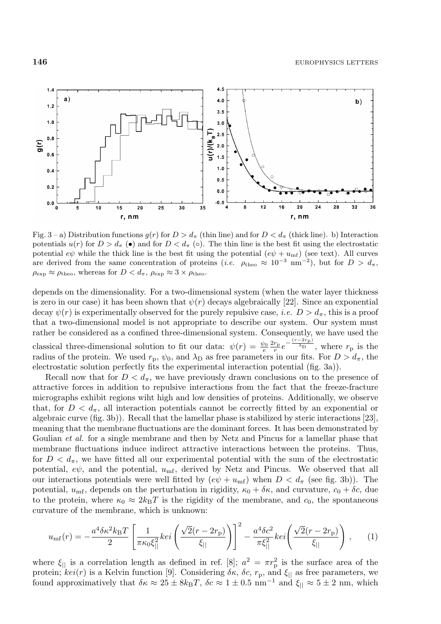

Fig. 3 – a) Distribution functions  $g(r)$  for  $D>d_\pi$  (thin line) and for  $D< d_\pi$  (thick line). b) Interaction potentials  $u(r)$  for  $D>d_{\pi}(\bullet)$  and for  $D< d_{\pi}(\circ)$ . The thin line is the best fit using the electrostatic potential  $e\psi$  while the thick line is the best fit using the potential  $(e\psi + u_{\text{mf}})$  (see text). All curves are derived from the same concentration of proteins (*i.e.*  $\rho_{\text{theo}} \approx 10^{-3}$  nm<sup>-2</sup>), but for  $D > d_{\pi}$ ,  $\rho_{\rm exp} \approx \rho_{\rm theo}$ , whereas for  $D < d_{\pi}$ ,  $\rho_{\rm exp} \approx 3 \times \rho_{\rm theo}$ .

depends on the dimensionality. For a two-dimensional system (when the water layer thickness is zero in our case) it has been shown that  $\psi(r)$  decays algebraically [22]. Since an exponential decay  $\psi(r)$  is experimentally observed for the purely repulsive case, *i.e.*  $D > d_{\pi}$ , this is a proof that a two-dimensional model is not appropriate to describe our system. Our system must rather be considered as a confined three-dimensional system. Consequently, we have used the classical three-dimensional solution to fit our data:  $\psi(r) = \frac{\psi_0}{e} \frac{2r_p}{r} e^{-\frac{(r-2r_p)}{\lambda_D}}$ , where  $r_p$  is the radius of the protein. We used  $r_p$ ,  $\psi_0$ , and  $\lambda_D$  as free parameters in our fits. For  $D > d_\pi$ , the electrostatic solution perfectly fits the experimental interaction potential (fig. 3a)).

Recall now that for  $D < d<sub>\pi</sub>$ , we have previously drawn conclusions on to the presence of attractive forces in addition to repulsive interactions from the fact that the freeze-fracture micrographs exhibit regions wiht high and low densities of proteins. Additionally, we observe that, for  $D < d_{\pi}$ , all interaction potentials cannot be correctly fitted by an exponential or algebraic curve (fig. 3b)). Recall that the lamellar phase is stabilized by steric interactions [23], meaning that the membrane fluctuations are the dominant forces. It has been demonstrated by Goulian *et al.* for a single membrane and then by Netz and Pincus for a lamellar phase that membrane fluctuations induce indirect attractive interactions between the proteins. Thus, for  $D < d_{\pi}$ , we have fitted all our experimental potential with the sum of the electrostatic potential,  $e\psi$ , and the potential,  $u_{\text{mf}}$ , derived by Netz and Pincus. We observed that all our interactions potentials were well fitted by  $(e\psi + u_{\rm mf})$  when  $D < d_{\pi}$  (see fig. 3b)). The potential,  $u_{\text{mf}}$ , depends on the perturbation in rigidity,  $\kappa_0 + \delta \kappa$ , and curvature,  $c_0 + \delta c$ , due to the protein, where  $\kappa_0 \approx 2k_BT$  is the rigidity of the membrane, and  $c_0$ , the spontaneous curvature of the membrane, which is unknown:

$$
u_{\rm mf}(r) = -\frac{a^4 \delta \kappa^2 k_{\rm B} T}{2} \left[ \frac{1}{\pi \kappa_0 \xi_{||}^2} kei \left( \frac{\sqrt{2}(r - 2r_{\rm p})}{\xi_{||}} \right) \right]^2 - \frac{a^4 \delta c^2}{\pi \xi_{||}^2} kei \left( \frac{\sqrt{2}(r - 2r_{\rm p})}{\xi_{||}} \right) ,\qquad(1)
$$

where  $\xi_{\parallel}$  is a correlation length as defined in ref. [8];  $a^2 = \pi r_p^2$  is the surface area of the protein;  $kei(r)$  is a Kelvin function [9]. Considering  $\delta\kappa$ ,  $\delta c$ ,  $r_p$ , and  $\xi_{\parallel}$  as free parameters, we found approximatively that  $\delta \kappa \approx 25 \pm 8k_{\text{B}}T$ ,  $\delta c \approx 1 \pm 0.5$  nm<sup>-1</sup> and  $\xi_{\parallel} \approx 5 \pm 2$  nm, which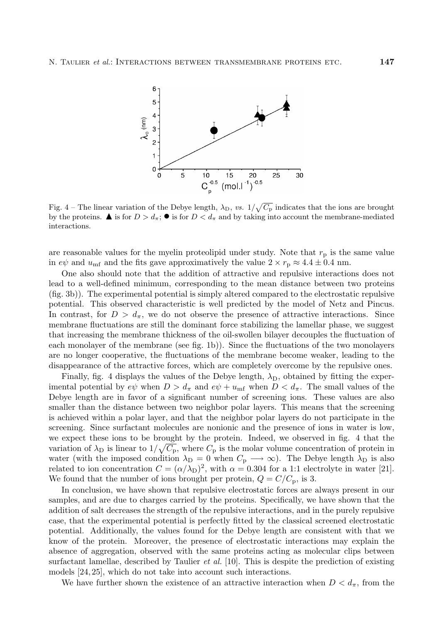

Fig. 4 – The linear variation of the Debye length,  $\lambda_D$ , vs.  $1/\sqrt{C_P}$  indicates that the ions are brought by the proteins.  $\blacktriangle$  is for  $D>d_{\pi}$ ;  $\blacktriangleright$  is for  $D < d_{\pi}$  and by taking into account the membrane-mediated interactions.

are reasonable values for the myelin proteolipid under study. Note that  $r<sub>p</sub>$  is the same value in  $e\psi$  and  $u_{\text{mf}}$  and the fits gave approximatively the value  $2 \times r_{\text{p}} \approx 4.4 \pm 0.4$  nm.

One also should note that the addition of attractive and repulsive interactions does not lead to a well-defined minimum, corresponding to the mean distance between two proteins (fig. 3b)). The experimental potential is simply altered compared to the electrostatic repulsive potential. This observed characteristic is well predicted by the model of Netz and Pincus. In contrast, for  $D>d_{\pi}$ , we do not observe the presence of attractive interactions. Since membrane fluctuations are still the dominant force stabilizing the lamellar phase, we suggest that increasing the membrane thickness of the oil-swollen bilayer decouples the fluctuation of each monolayer of the membrane (see fig. 1b)). Since the fluctuations of the two monolayers are no longer cooperative, the fluctuations of the membrane become weaker, leading to the disappearance of the attractive forces, which are completely overcome by the repulsive ones.

Finally, fig. 4 displays the values of the Debye length,  $\lambda_D$ , obtained by fitting the experimental potential by  $e\psi$  when  $D>d_{\pi}$  and  $e\psi + u_{\text{mf}}$  when  $D < d_{\pi}$ . The small values of the Debye length are in favor of a significant number of screening ions. These values are also smaller than the distance between two neighbor polar layers. This means that the screening is achieved within a polar layer, and that the neighbor polar layers do not participate in the screening. Since surfactant molecules are nonionic and the presence of ions in water is low, we expect these ions to be brought by the protein. Indeed, we observed in fig. 4 that the variation of  $\lambda_{\rm D}$  is linear to  $1/\sqrt{C_{\rm p}}$ , where  $C_{\rm p}$  is the molar volume concentration of protein in water (with the imposed condition  $\lambda_D = 0$  when  $C_p \longrightarrow \infty$ ). The Debye length  $\lambda_D$  is also related to ion concentration  $C = (\alpha/\lambda_D)^2$ , with  $\alpha = 0.304$  for a 1:1 electrolyte in water [21]. We found that the number of ions brought per protein,  $Q = C/C_p$ , is 3.

In conclusion, we have shown that repulsive electrostatic forces are always present in our samples, and are due to charges carried by the proteins. Specifically, we have shown that the addition of salt decreases the strength of the repulsive interactions, and in the purely repulsive case, that the experimental potential is perfectly fitted by the classical screened electrostatic potential. Additionally, the values found for the Debye length are consistent with that we know of the protein. Moreover, the presence of electrostatic interactions may explain the absence of aggregation, observed with the same proteins acting as molecular clips between surfactant lamellae, described by Taulier *et al.* [10]. This is despite the prediction of existing models [24, 25], which do not take into account such interactions.

We have further shown the existence of an attractive interaction when  $D < d_{\pi}$ , from the